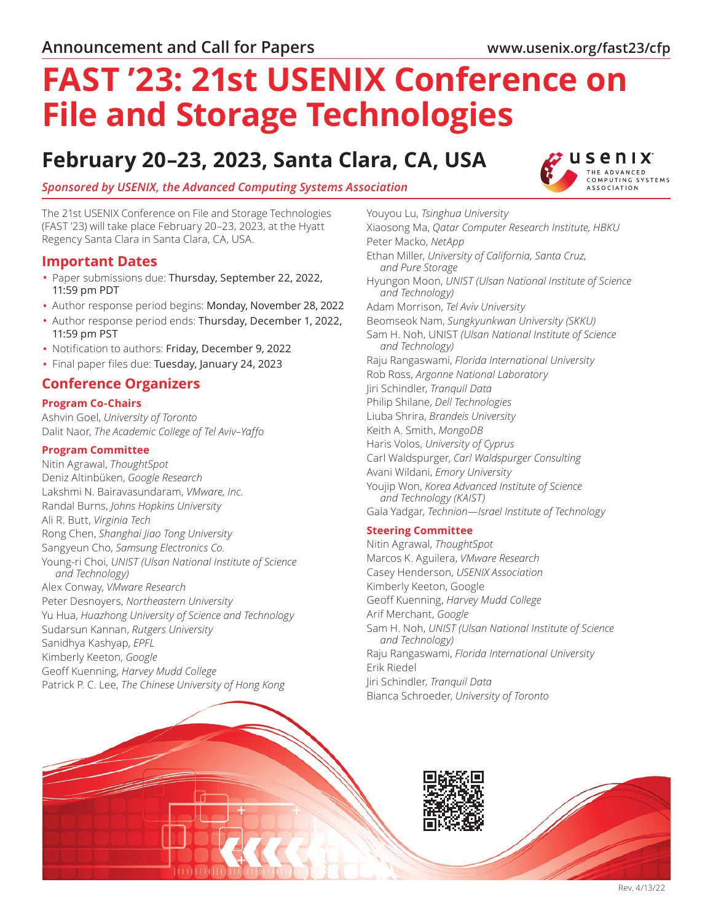# **FAST '23: 21st USENIX Conference on File and Storage Technologies**

# **February 20–23, 2023, Santa Clara, CA, USA**



# *Sponsored by [USENIX](https://www.usenix.org/), the Advanced Computing Systems Association*

The 21st USENIX Conference on File and Storage Technologies (FAST '23) will take place February 20–23, 2023, at the Hyatt Regency Santa Clara in Santa Clara, CA, USA.

# **Important Dates**

- Paper submissions due: Thursday, September 22, 2022, 11:59 pm PDT
- Author response period begins: Monday, November 28, 2022
- Author response period ends: Thursday, December 1, 2022, 11:59 pm PST
- Notification to authors: Friday, December 9, 2022
- Final paper files due: Tuesday, January 24, 2023

# **Conference Organizers**

#### **Program Co-Chairs**

Ashvin Goel, *University of Toronto* Dalit Naor, *The Academic College of Tel Aviv–Yaffo*

## **Program Committee**

Nitin Agrawal, *ThoughtSpot* Deniz Altinbüken, *Google Research* Lakshmi N. Bairavasundaram, *VMware, Inc.* Randal Burns, *Johns Hopkins University* Ali R. Butt, *Virginia Tech* Rong Chen, *Shanghai Jiao Tong University* Sangyeun Cho, *Samsung Electronics Co.* Young-ri Choi, *UNIST (Ulsan National Institute of Science and Technology)* Alex Conway, *VMware Research* Peter Desnoyers, *Northeastern University* Yu Hua, *Huazhong University of Science and Technology* Sudarsun Kannan, *Rutgers University* Sanidhya Kashyap, *EPFL* Kimberly Keeton, *Google* Geoff Kuenning, *Harvey Mudd College* Patrick P. C. Lee, *The Chinese University of Hong Kong*

Youyou Lu, *Tsinghua University* Xiaosong Ma, *Qatar Computer Research Institute, HBKU* Peter Macko, *NetApp* Ethan Miller, *University of California, Santa Cruz, and Pure Storage* Hyungon Moon, *UNIST (Ulsan National Institute of Science and Technology)* Adam Morrison, *Tel Aviv University* Beomseok Nam, *Sungkyunkwan University (SKKU)* Sam H. Noh, UNIST *(Ulsan National Institute of Science and Technology)* Raju Rangaswami, *Florida International University* Rob Ross, *Argonne National Laboratory* Jiri Schindler, *Tranquil Data* Philip Shilane, *Dell Technologies* Liuba Shrira, *Brandeis University* Keith A. Smith, *MongoDB* Haris Volos, *University of Cyprus* Carl Waldspurger, *Carl Waldspurger Consulting* Avani Wildani, *Emory University* Youjip Won, *Korea Advanced Institute of Science and Technology (KAIST)* Gala Yadgar, *Technion—Israel Institute of Technology*

# **Steering Committee**

Nitin Agrawal, *ThoughtSpot* Marcos K. Aguilera, *VMware Research* Casey Henderson, *USENIX Association* Kimberly Keeton, Google Geoff Kuenning, *Harvey Mudd College* Arif Merchant, *Google* Sam H. Noh, *UNIST (Ulsan National Institute of Science and Technology)* Raju Rangaswami, *Florida International University* Erik Riedel Jiri Schindler, *Tranquil Data* Bianca Schroeder, *University of Toronto*

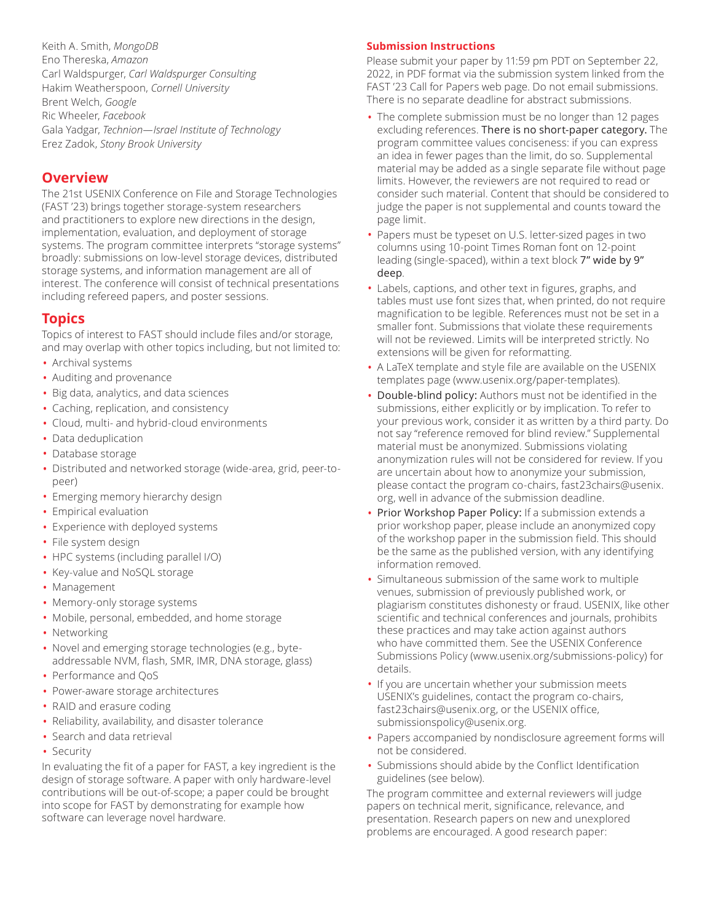Keith A. Smith, *MongoDB* Eno Thereska, *Amazon* Carl Waldspurger, *Carl Waldspurger Consulting* Hakim Weatherspoon, *Cornell University* Brent Welch, *Google* Ric Wheeler, *Facebook* Gala Yadgar, *Technion—Israel Institute of Technology* Erez Zadok, *Stony Brook University*

# **Overview**

The 21st USENIX Conference on File and Storage Technologies (FAST '23) brings together storage-system researchers and practitioners to explore new directions in the design, implementation, evaluation, and deployment of storage systems. The program committee interprets "storage systems" broadly: submissions on low-level storage devices, distributed storage systems, and information management are all of interest. The conference will consist of technical presentations including refereed papers, and poster sessions.

# **Topics**

Topics of interest to FAST should include files and/or storage, and may overlap with other topics including, but not limited to:

- Archival systems
- Auditing and provenance
- Big data, analytics, and data sciences
- Caching, replication, and consistency
- Cloud, multi- and hybrid-cloud environments
- Data deduplication
- Database storage
- Distributed and networked storage (wide-area, grid, peer-topeer)
- Emerging memory hierarchy design
- Empirical evaluation
- Experience with deployed systems
- File system design
- HPC systems (including parallel I/O)
- Key-value and NoSQL storage
- Management
- Memory-only storage systems
- Mobile, personal, embedded, and home storage
- Networking
- Novel and emerging storage technologies (e.g., byteaddressable NVM, flash, SMR, IMR, DNA storage, glass)
- Performance and QoS
- Power-aware storage architectures
- RAID and erasure coding
- Reliability, availability, and disaster tolerance
- Search and data retrieval
- Security

In evaluating the fit of a paper for FAST, a key ingredient is the design of storage software. A paper with only hardware-level contributions will be out-of-scope; a paper could be brought into scope for FAST by demonstrating for example how software can leverage novel hardware.

### **Submission Instructions**

Please submit your paper by 11:59 pm PDT on September 22, 2022, in PDF format via the submission system linked from the FAST '23 Call for Papers web page. Do not email submissions. There is no separate deadline for abstract submissions.

- The complete submission must be no longer than 12 pages excluding references. There is no short-paper category. The program committee values conciseness: if you can express an idea in fewer pages than the limit, do so. Supplemental material may be added as a single separate file without page limits. However, the reviewers are not required to read or consider such material. Content that should be considered to judge the paper is not supplemental and counts toward the page limit.
- Papers must be typeset on U.S. letter-sized pages in two columns using 10-point Times Roman font on 12-point leading (single-spaced), within a text block 7" wide by 9" deep.
- Labels, captions, and other text in figures, graphs, and tables must use font sizes that, when printed, do not require magnification to be legible. References must not be set in a smaller font. Submissions that violate these requirements will not be reviewed. Limits will be interpreted strictly. No extensions will be given for reformatting.
- A LaTeX template and style file are available on the USENIX templates page (www.usenix.org/paper-templates).
- Double-blind policy: Authors must not be identified in the submissions, either explicitly or by implication. To refer to your previous work, consider it as written by a third party. Do not say "reference removed for blind review." Supplemental material must be anonymized. Submissions violating anonymization rules will not be considered for review. If you are uncertain about how to anonymize your submission, please contact the program co-chairs, fast23chairs@usenix. org, well in advance of the submission deadline.
- Prior Workshop Paper Policy: If a submission extends a prior workshop paper, please include an anonymized copy of the workshop paper in the submission field. This should be the same as the published version, with any identifying information removed.
- Simultaneous submission of the same work to multiple venues, submission of previously published work, or plagiarism constitutes dishonesty or fraud. USENIX, like other scientific and technical conferences and journals, prohibits these practices and may take action against authors who have committed them. See the USENIX Conference Submissions Policy (www.usenix.org/submissions-policy) for details.
- If you are uncertain whether your submission meets USENIX's guidelines, contact the program co-chairs, fast23chairs@usenix.org, or the USENIX office, submissionspolicy@usenix.org.
- Papers accompanied by nondisclosure agreement forms will not be considered.
- Submissions should abide by the Conflict Identification guidelines (see below).

The program committee and external reviewers will judge papers on technical merit, significance, relevance, and presentation. Research papers on new and unexplored problems are encouraged. A good research paper: